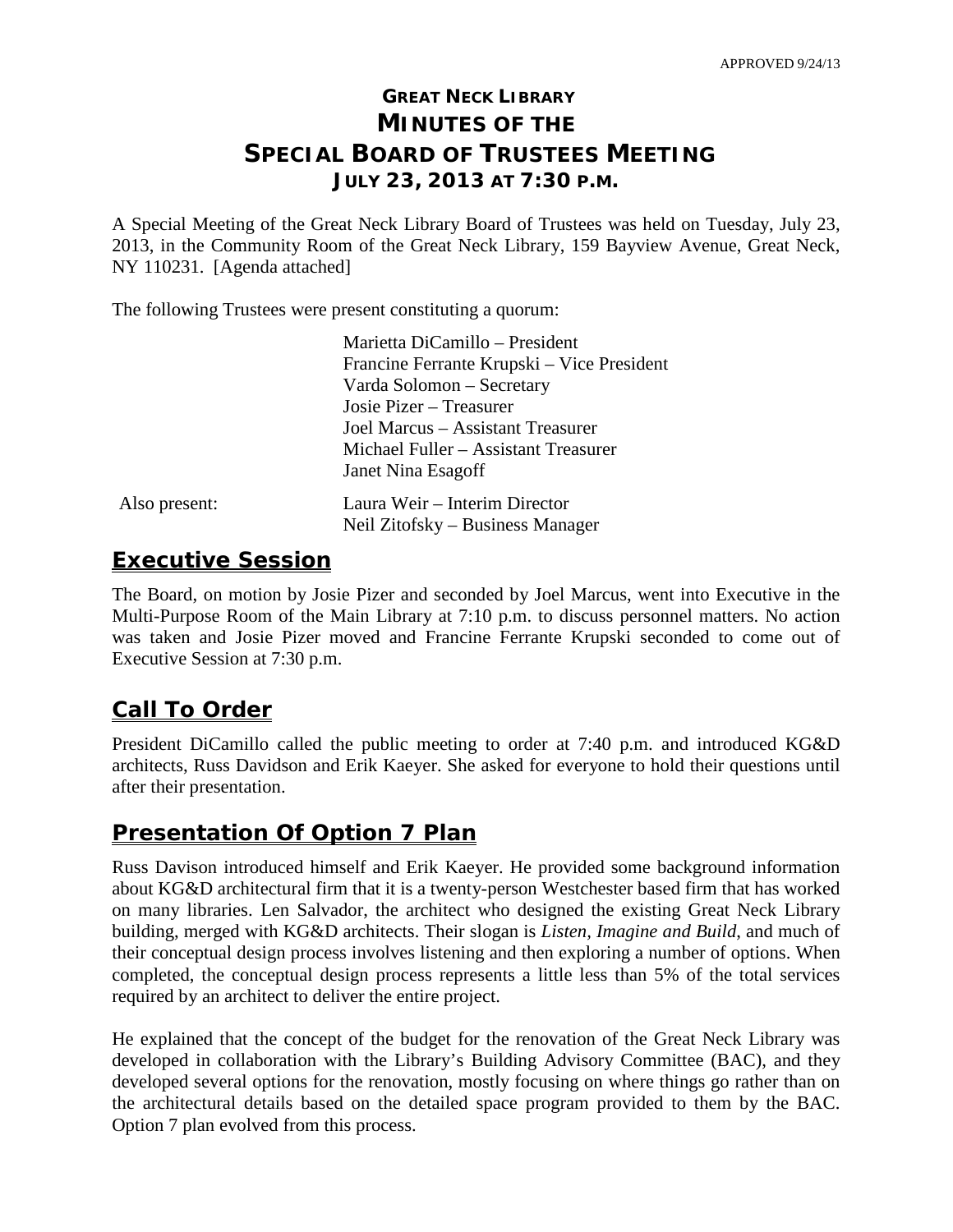# **GREAT NECK LIBRARY MINUTES OF THE SPECIAL BOARD OF TRUSTEES MEETING JULY 23, 2013 AT 7:30 P.M.**

A Special Meeting of the Great Neck Library Board of Trustees was held on Tuesday, July 23, 2013, in the Community Room of the Great Neck Library, 159 Bayview Avenue, Great Neck, NY 110231. [Agenda attached]

The following Trustees were present constituting a quorum:

|               | Marietta DiCamillo - President                                    |
|---------------|-------------------------------------------------------------------|
|               | Francine Ferrante Krupski – Vice President                        |
|               | Varda Solomon - Secretary                                         |
|               | Josie Pizer – Treasurer                                           |
|               | Joel Marcus - Assistant Treasurer                                 |
|               | Michael Fuller – Assistant Treasurer                              |
|               | Janet Nina Esagoff                                                |
| Also present: | Laura Weir - Interim Director<br>Neil Zitofsky – Business Manager |
|               |                                                                   |

## **Executive Session**

The Board, on motion by Josie Pizer and seconded by Joel Marcus, went into Executive in the Multi-Purpose Room of the Main Library at 7:10 p.m. to discuss personnel matters. No action was taken and Josie Pizer moved and Francine Ferrante Krupski seconded to come out of Executive Session at 7:30 p.m.

# **Call To Order**

President DiCamillo called the public meeting to order at 7:40 p.m. and introduced KG&D architects, Russ Davidson and Erik Kaeyer. She asked for everyone to hold their questions until after their presentation.

## **Presentation Of Option 7 Plan**

Russ Davison introduced himself and Erik Kaeyer. He provided some background information about KG&D architectural firm that it is a twenty-person Westchester based firm that has worked on many libraries. Len Salvador, the architect who designed the existing Great Neck Library building, merged with KG&D architects. Their slogan is *Listen, Imagine and Build*, and much of their conceptual design process involves listening and then exploring a number of options. When completed, the conceptual design process represents a little less than 5% of the total services required by an architect to deliver the entire project.

He explained that the concept of the budget for the renovation of the Great Neck Library was developed in collaboration with the Library's Building Advisory Committee (BAC), and they developed several options for the renovation, mostly focusing on where things go rather than on the architectural details based on the detailed space program provided to them by the BAC. Option 7 plan evolved from this process.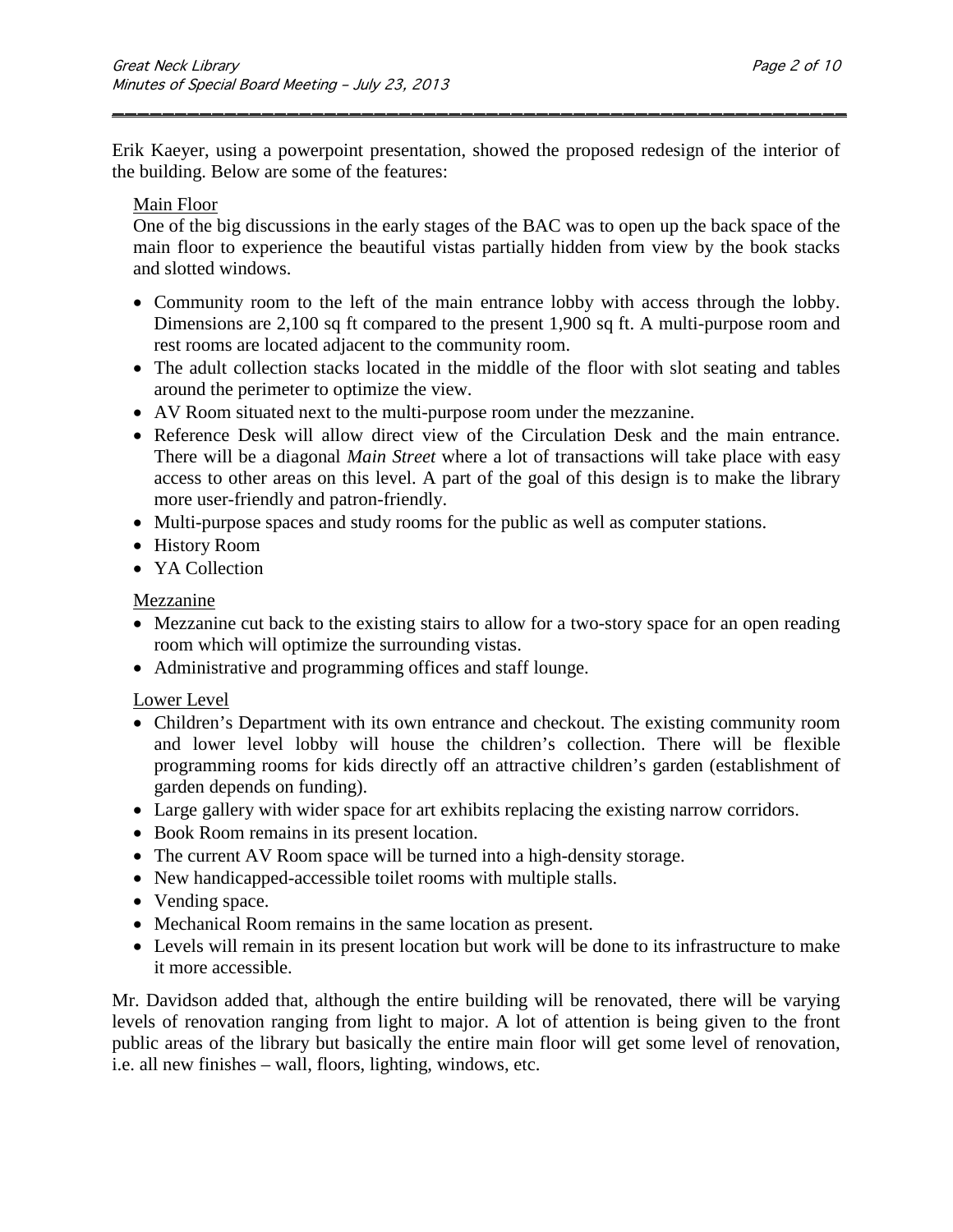Erik Kaeyer, using a powerpoint presentation, showed the proposed redesign of the interior of the building. Below are some of the features:

\_\_\_\_\_\_\_\_\_\_\_\_\_\_\_\_\_\_\_\_\_\_\_\_\_\_\_\_\_\_\_\_\_\_\_\_\_\_\_\_\_\_\_\_\_\_\_\_\_\_\_\_\_\_\_\_\_\_\_

### Main Floor

One of the big discussions in the early stages of the BAC was to open up the back space of the main floor to experience the beautiful vistas partially hidden from view by the book stacks and slotted windows.

- Community room to the left of the main entrance lobby with access through the lobby. Dimensions are 2,100 sq ft compared to the present 1,900 sq ft. A multi-purpose room and rest rooms are located adjacent to the community room.
- The adult collection stacks located in the middle of the floor with slot seating and tables around the perimeter to optimize the view.
- AV Room situated next to the multi-purpose room under the mezzanine.
- Reference Desk will allow direct view of the Circulation Desk and the main entrance. There will be a diagonal *Main Street* where a lot of transactions will take place with easy access to other areas on this level. A part of the goal of this design is to make the library more user-friendly and patron-friendly.
- Multi-purpose spaces and study rooms for the public as well as computer stations.
- History Room
- YA Collection

#### Mezzanine

- Mezzanine cut back to the existing stairs to allow for a two-story space for an open reading room which will optimize the surrounding vistas.
- Administrative and programming offices and staff lounge.

#### Lower Level

- Children's Department with its own entrance and checkout. The existing community room and lower level lobby will house the children's collection. There will be flexible programming rooms for kids directly off an attractive children's garden (establishment of garden depends on funding).
- Large gallery with wider space for art exhibits replacing the existing narrow corridors.
- Book Room remains in its present location.
- The current AV Room space will be turned into a high-density storage.
- New handicapped-accessible toilet rooms with multiple stalls.
- Vending space.
- Mechanical Room remains in the same location as present.
- Levels will remain in its present location but work will be done to its infrastructure to make it more accessible.

Mr. Davidson added that, although the entire building will be renovated, there will be varying levels of renovation ranging from light to major. A lot of attention is being given to the front public areas of the library but basically the entire main floor will get some level of renovation, i.e. all new finishes – wall, floors, lighting, windows, etc.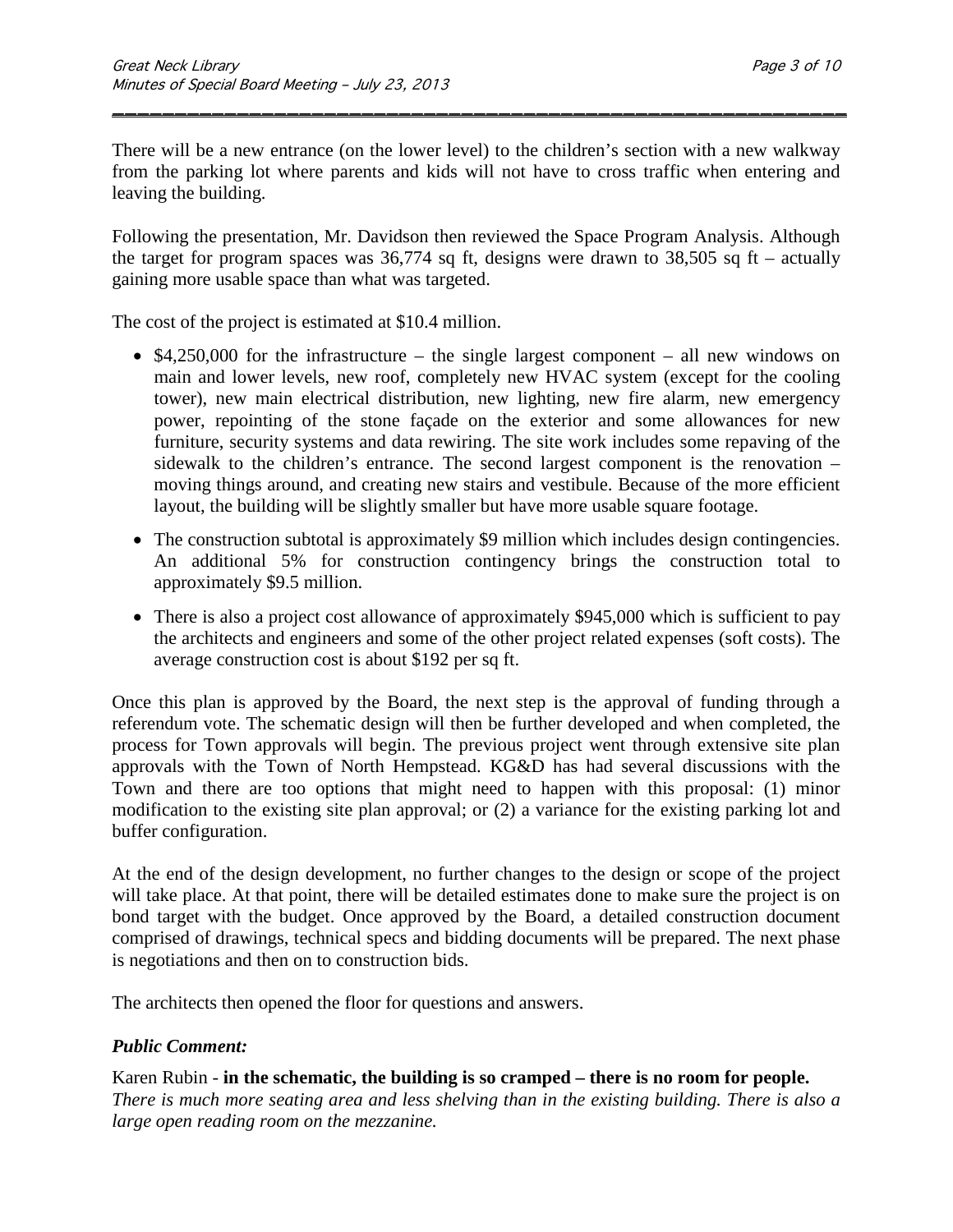There will be a new entrance (on the lower level) to the children's section with a new walkway from the parking lot where parents and kids will not have to cross traffic when entering and leaving the building.

\_\_\_\_\_\_\_\_\_\_\_\_\_\_\_\_\_\_\_\_\_\_\_\_\_\_\_\_\_\_\_\_\_\_\_\_\_\_\_\_\_\_\_\_\_\_\_\_\_\_\_\_\_\_\_\_\_\_\_

Following the presentation, Mr. Davidson then reviewed the Space Program Analysis. Although the target for program spaces was  $36,774$  sq ft, designs were drawn to  $38,505$  sq ft – actually gaining more usable space than what was targeted.

The cost of the project is estimated at \$10.4 million.

- $$4,250,000$  for the infrastructure the single largest component all new windows on main and lower levels, new roof, completely new HVAC system (except for the cooling tower), new main electrical distribution, new lighting, new fire alarm, new emergency power, repointing of the stone façade on the exterior and some allowances for new furniture, security systems and data rewiring. The site work includes some repaving of the sidewalk to the children's entrance. The second largest component is the renovation – moving things around, and creating new stairs and vestibule. Because of the more efficient layout, the building will be slightly smaller but have more usable square footage.
- The construction subtotal is approximately \$9 million which includes design contingencies. An additional 5% for construction contingency brings the construction total to approximately \$9.5 million.
- There is also a project cost allowance of approximately \$945,000 which is sufficient to pay the architects and engineers and some of the other project related expenses (soft costs). The average construction cost is about \$192 per sq ft.

Once this plan is approved by the Board, the next step is the approval of funding through a referendum vote. The schematic design will then be further developed and when completed, the process for Town approvals will begin. The previous project went through extensive site plan approvals with the Town of North Hempstead. KG&D has had several discussions with the Town and there are too options that might need to happen with this proposal: (1) minor modification to the existing site plan approval; or (2) a variance for the existing parking lot and buffer configuration.

At the end of the design development, no further changes to the design or scope of the project will take place. At that point, there will be detailed estimates done to make sure the project is on bond target with the budget. Once approved by the Board, a detailed construction document comprised of drawings, technical specs and bidding documents will be prepared. The next phase is negotiations and then on to construction bids.

The architects then opened the floor for questions and answers.

#### *Public Comment:*

Karen Rubin - **in the schematic, the building is so cramped – there is no room for people.** *There is much more seating area and less shelving than in the existing building. There is also a large open reading room on the mezzanine.*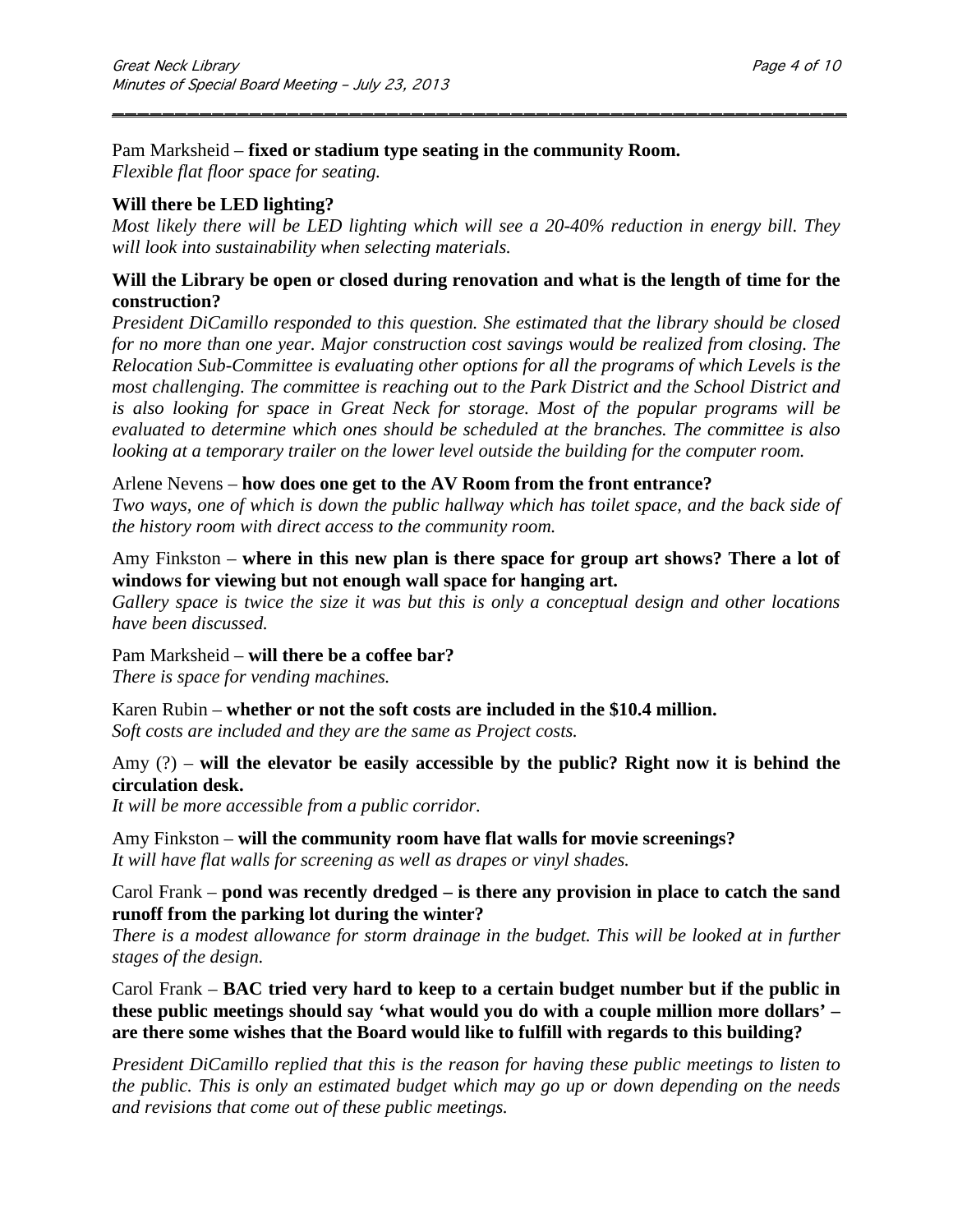#### Pam Marksheid – **fixed or stadium type seating in the community Room.**

*Flexible flat floor space for seating.* 

### **Will there be LED lighting?**

*Most likely there will be LED lighting which will see a 20-40% reduction in energy bill. They will look into sustainability when selecting materials.*

\_\_\_\_\_\_\_\_\_\_\_\_\_\_\_\_\_\_\_\_\_\_\_\_\_\_\_\_\_\_\_\_\_\_\_\_\_\_\_\_\_\_\_\_\_\_\_\_\_\_\_\_\_\_\_\_\_\_\_

### **Will the Library be open or closed during renovation and what is the length of time for the construction?**

*President DiCamillo responded to this question. She estimated that the library should be closed for no more than one year. Major construction cost savings would be realized from closing. The Relocation Sub-Committee is evaluating other options for all the programs of which Levels is the most challenging. The committee is reaching out to the Park District and the School District and is also looking for space in Great Neck for storage. Most of the popular programs will be evaluated to determine which ones should be scheduled at the branches. The committee is also looking at a temporary trailer on the lower level outside the building for the computer room.*

Arlene Nevens – **how does one get to the AV Room from the front entrance?** *Two ways, one of which is down the public hallway which has toilet space, and the back side of the history room with direct access to the community room.*

## Amy Finkston – **where in this new plan is there space for group art shows? There a lot of windows for viewing but not enough wall space for hanging art.**

*Gallery space is twice the size it was but this is only a conceptual design and other locations have been discussed.*

Pam Marksheid – **will there be a coffee bar?** *There is space for vending machines.*

Karen Rubin – **whether or not the soft costs are included in the \$10.4 million.** *Soft costs are included and they are the same as Project costs.*

## Amy (?) – **will the elevator be easily accessible by the public? Right now it is behind the circulation desk.**

*It will be more accessible from a public corridor.*

Amy Finkston – **will the community room have flat walls for movie screenings?** *It will have flat walls for screening as well as drapes or vinyl shades.*

### Carol Frank – **pond was recently dredged – is there any provision in place to catch the sand runoff from the parking lot during the winter?**

*There is a modest allowance for storm drainage in the budget. This will be looked at in further stages of the design.*

Carol Frank – **BAC tried very hard to keep to a certain budget number but if the public in these public meetings should say 'what would you do with a couple million more dollars' – are there some wishes that the Board would like to fulfill with regards to this building?**

*President DiCamillo replied that this is the reason for having these public meetings to listen to the public. This is only an estimated budget which may go up or down depending on the needs and revisions that come out of these public meetings.*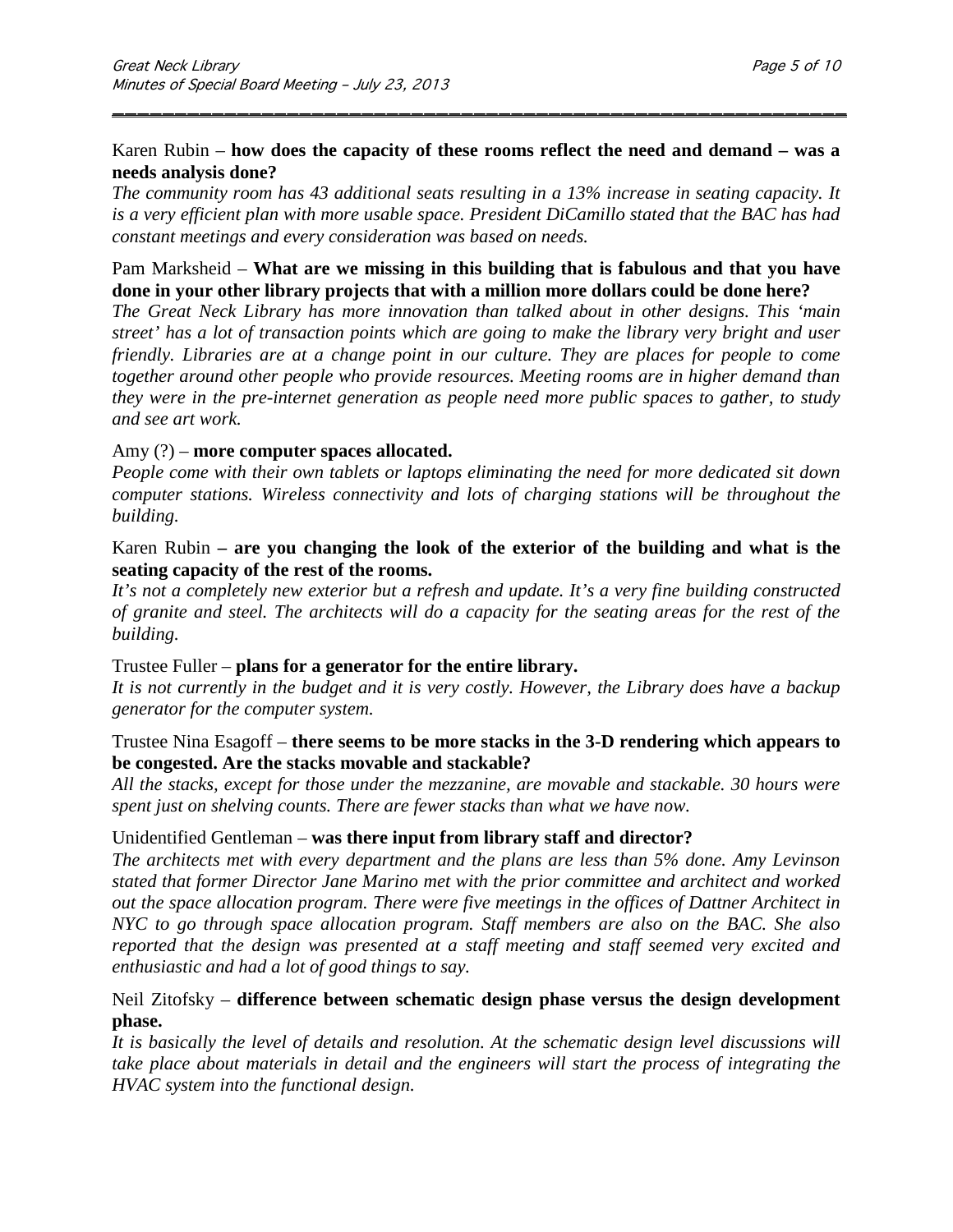### Karen Rubin – **how does the capacity of these rooms reflect the need and demand – was a needs analysis done?**

\_\_\_\_\_\_\_\_\_\_\_\_\_\_\_\_\_\_\_\_\_\_\_\_\_\_\_\_\_\_\_\_\_\_\_\_\_\_\_\_\_\_\_\_\_\_\_\_\_\_\_\_\_\_\_\_\_\_\_

*The community room has 43 additional seats resulting in a 13% increase in seating capacity. It is a very efficient plan with more usable space. President DiCamillo stated that the BAC has had constant meetings and every consideration was based on needs.*

### Pam Marksheid – **What are we missing in this building that is fabulous and that you have done in your other library projects that with a million more dollars could be done here?**

*The Great Neck Library has more innovation than talked about in other designs. This 'main street' has a lot of transaction points which are going to make the library very bright and user friendly. Libraries are at a change point in our culture. They are places for people to come together around other people who provide resources. Meeting rooms are in higher demand than they were in the pre-internet generation as people need more public spaces to gather, to study and see art work.* 

### Amy (?) – **more computer spaces allocated.**

*People come with their own tablets or laptops eliminating the need for more dedicated sit down computer stations. Wireless connectivity and lots of charging stations will be throughout the building.*

### Karen Rubin **– are you changing the look of the exterior of the building and what is the seating capacity of the rest of the rooms.**

*It's not a completely new exterior but a refresh and update. It's a very fine building constructed of granite and steel. The architects will do a capacity for the seating areas for the rest of the building.*

#### Trustee Fuller – **plans for a generator for the entire library.**

*It is not currently in the budget and it is very costly. However, the Library does have a backup generator for the computer system.*

### Trustee Nina Esagoff – **there seems to be more stacks in the 3-D rendering which appears to be congested. Are the stacks movable and stackable?**

*All the stacks, except for those under the mezzanine, are movable and stackable. 30 hours were spent just on shelving counts. There are fewer stacks than what we have now.*

#### Unidentified Gentleman – **was there input from library staff and director?**

*The architects met with every department and the plans are less than 5% done. Amy Levinson stated that former Director Jane Marino met with the prior committee and architect and worked out the space allocation program. There were five meetings in the offices of Dattner Architect in NYC to go through space allocation program. Staff members are also on the BAC. She also reported that the design was presented at a staff meeting and staff seemed very excited and enthusiastic and had a lot of good things to say.*

### Neil Zitofsky – **difference between schematic design phase versus the design development phase.**

*It is basically the level of details and resolution. At the schematic design level discussions will take place about materials in detail and the engineers will start the process of integrating the HVAC system into the functional design.*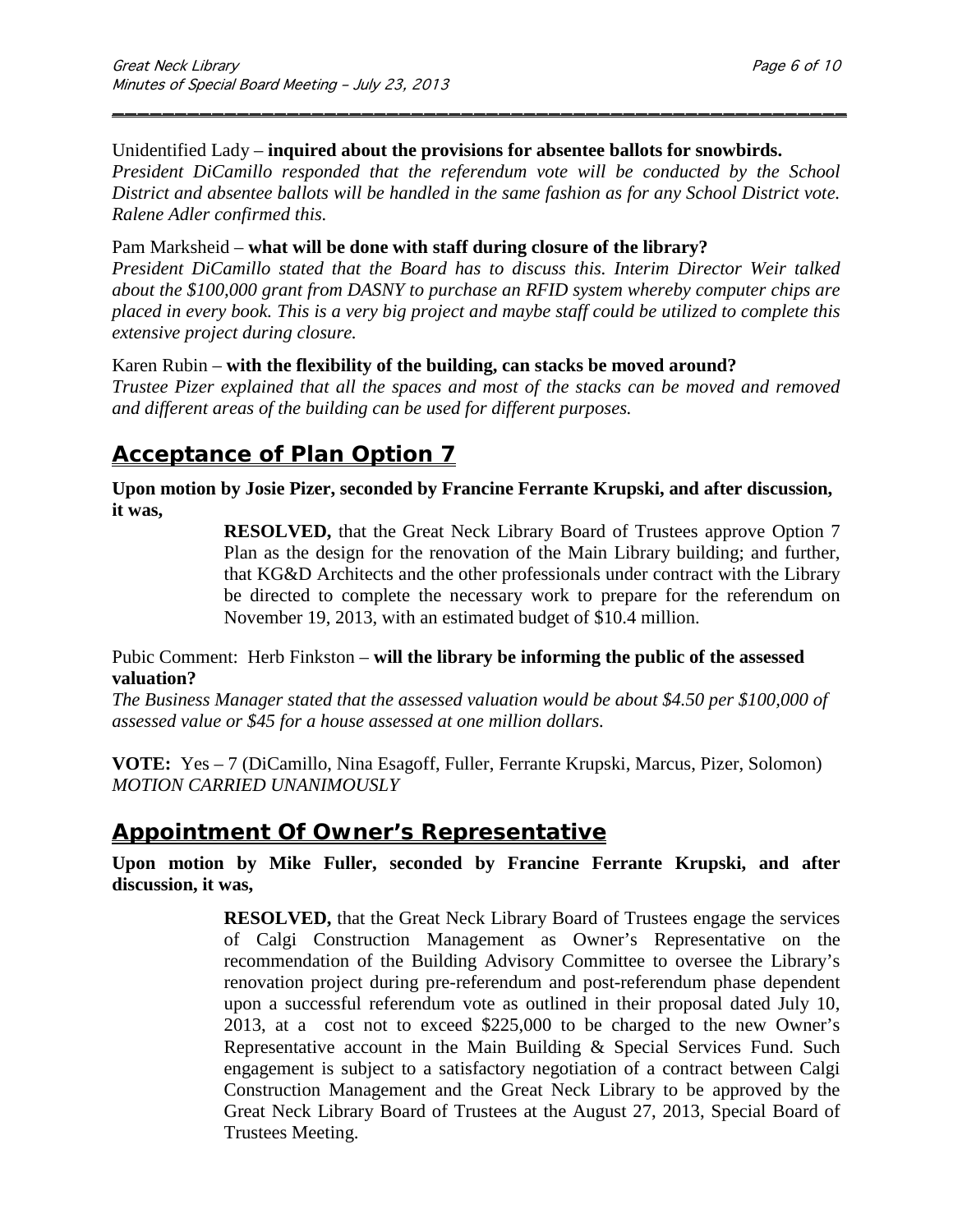#### Unidentified Lady – **inquired about the provisions for absentee ballots for snowbirds.**

*President DiCamillo responded that the referendum vote will be conducted by the School District and absentee ballots will be handled in the same fashion as for any School District vote. Ralene Adler confirmed this.*

\_\_\_\_\_\_\_\_\_\_\_\_\_\_\_\_\_\_\_\_\_\_\_\_\_\_\_\_\_\_\_\_\_\_\_\_\_\_\_\_\_\_\_\_\_\_\_\_\_\_\_\_\_\_\_\_\_\_\_

#### Pam Marksheid – **what will be done with staff during closure of the library?**

*President DiCamillo stated that the Board has to discuss this. Interim Director Weir talked about the \$100,000 grant from DASNY to purchase an RFID system whereby computer chips are placed in every book. This is a very big project and maybe staff could be utilized to complete this extensive project during closure.*

#### Karen Rubin – **with the flexibility of the building, can stacks be moved around?**

*Trustee Pizer explained that all the spaces and most of the stacks can be moved and removed and different areas of the building can be used for different purposes.*

# **Acceptance of Plan Option 7**

**Upon motion by Josie Pizer, seconded by Francine Ferrante Krupski, and after discussion, it was,**

> **RESOLVED,** that the Great Neck Library Board of Trustees approve Option 7 Plan as the design for the renovation of the Main Library building; and further, that KG&D Architects and the other professionals under contract with the Library be directed to complete the necessary work to prepare for the referendum on November 19, 2013, with an estimated budget of \$10.4 million.

### Pubic Comment: Herb Finkston – **will the library be informing the public of the assessed valuation?**

*The Business Manager stated that the assessed valuation would be about \$4.50 per \$100,000 of assessed value or \$45 for a house assessed at one million dollars.*

**VOTE:** Yes – 7 (DiCamillo, Nina Esagoff, Fuller, Ferrante Krupski, Marcus, Pizer, Solomon) *MOTION CARRIED UNANIMOUSLY* 

## **Appointment Of Owner's Representative**

**Upon motion by Mike Fuller, seconded by Francine Ferrante Krupski, and after discussion, it was,**

> **RESOLVED,** that the Great Neck Library Board of Trustees engage the services of Calgi Construction Management as Owner's Representative on the recommendation of the Building Advisory Committee to oversee the Library's renovation project during pre-referendum and post-referendum phase dependent upon a successful referendum vote as outlined in their proposal dated July 10, 2013, at a cost not to exceed \$225,000 to be charged to the new Owner's Representative account in the Main Building & Special Services Fund. Such engagement is subject to a satisfactory negotiation of a contract between Calgi Construction Management and the Great Neck Library to be approved by the Great Neck Library Board of Trustees at the August 27, 2013, Special Board of Trustees Meeting.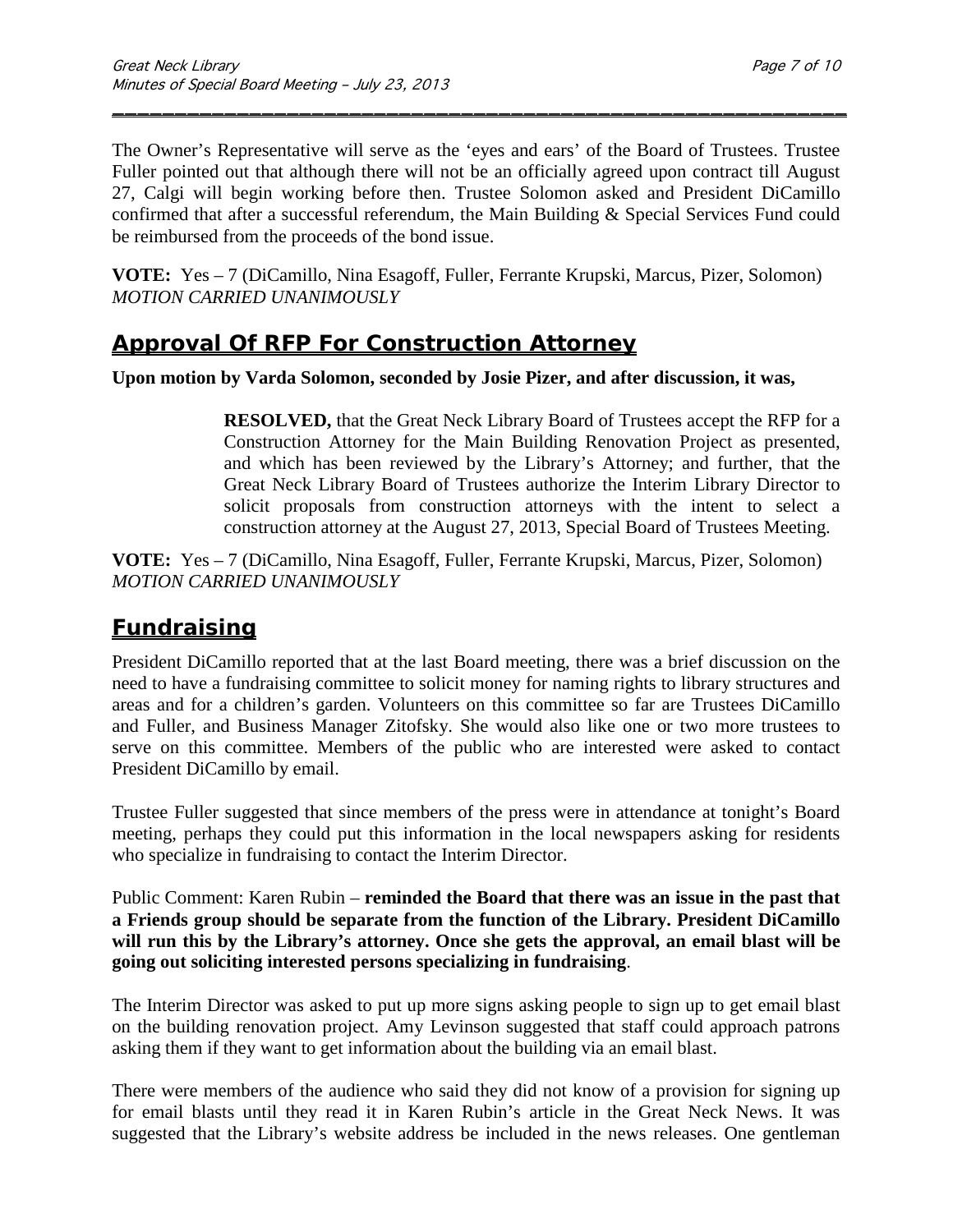The Owner's Representative will serve as the 'eyes and ears' of the Board of Trustees. Trustee Fuller pointed out that although there will not be an officially agreed upon contract till August 27, Calgi will begin working before then. Trustee Solomon asked and President DiCamillo confirmed that after a successful referendum, the Main Building & Special Services Fund could be reimbursed from the proceeds of the bond issue.

\_\_\_\_\_\_\_\_\_\_\_\_\_\_\_\_\_\_\_\_\_\_\_\_\_\_\_\_\_\_\_\_\_\_\_\_\_\_\_\_\_\_\_\_\_\_\_\_\_\_\_\_\_\_\_\_\_\_\_

**VOTE:** Yes – 7 (DiCamillo, Nina Esagoff, Fuller, Ferrante Krupski, Marcus, Pizer, Solomon) *MOTION CARRIED UNANIMOUSLY* 

## **Approval Of RFP For Construction Attorney**

**Upon motion by Varda Solomon, seconded by Josie Pizer, and after discussion, it was,**

**RESOLVED,** that the Great Neck Library Board of Trustees accept the RFP for a Construction Attorney for the Main Building Renovation Project as presented, and which has been reviewed by the Library's Attorney; and further, that the Great Neck Library Board of Trustees authorize the Interim Library Director to solicit proposals from construction attorneys with the intent to select a construction attorney at the August 27, 2013, Special Board of Trustees Meeting.

**VOTE:** Yes – 7 (DiCamillo, Nina Esagoff, Fuller, Ferrante Krupski, Marcus, Pizer, Solomon) *MOTION CARRIED UNANIMOUSLY* 

# **Fundraising**

President DiCamillo reported that at the last Board meeting, there was a brief discussion on the need to have a fundraising committee to solicit money for naming rights to library structures and areas and for a children's garden. Volunteers on this committee so far are Trustees DiCamillo and Fuller, and Business Manager Zitofsky. She would also like one or two more trustees to serve on this committee. Members of the public who are interested were asked to contact President DiCamillo by email.

Trustee Fuller suggested that since members of the press were in attendance at tonight's Board meeting, perhaps they could put this information in the local newspapers asking for residents who specialize in fundraising to contact the Interim Director.

Public Comment: Karen Rubin – **reminded the Board that there was an issue in the past that a Friends group should be separate from the function of the Library. President DiCamillo will run this by the Library's attorney. Once she gets the approval, an email blast will be going out soliciting interested persons specializing in fundraising**.

The Interim Director was asked to put up more signs asking people to sign up to get email blast on the building renovation project. Amy Levinson suggested that staff could approach patrons asking them if they want to get information about the building via an email blast.

There were members of the audience who said they did not know of a provision for signing up for email blasts until they read it in Karen Rubin's article in the Great Neck News. It was suggested that the Library's website address be included in the news releases. One gentleman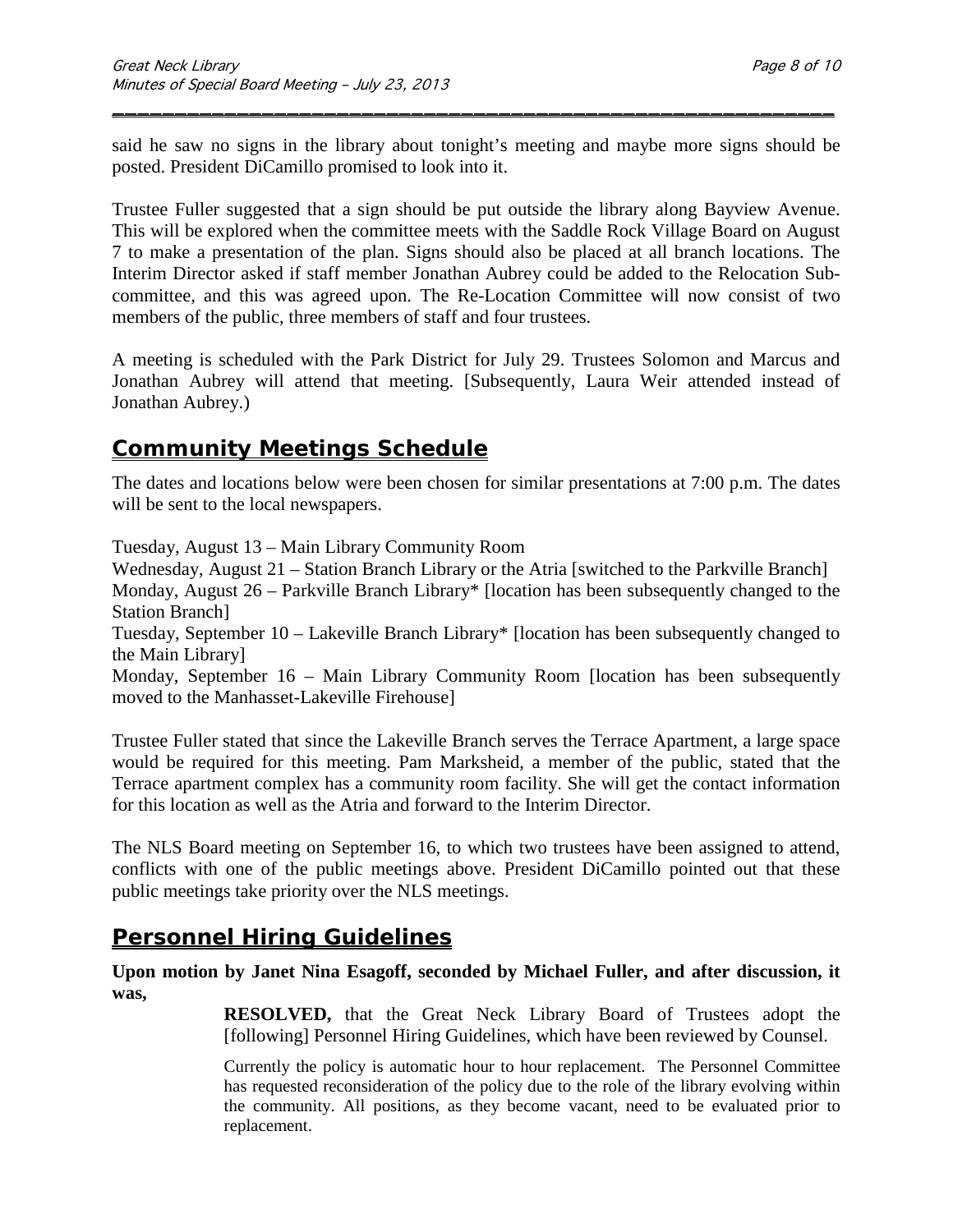said he saw no signs in the library about tonight's meeting and maybe more signs should be posted. President DiCamillo promised to look into it.

\_\_\_\_\_\_\_\_\_\_\_\_\_\_\_\_\_\_\_\_\_\_\_\_\_\_\_\_\_\_\_\_\_\_\_\_\_\_\_\_\_\_\_\_\_\_\_\_\_\_\_\_\_\_\_\_\_\_

Trustee Fuller suggested that a sign should be put outside the library along Bayview Avenue. This will be explored when the committee meets with the Saddle Rock Village Board on August 7 to make a presentation of the plan. Signs should also be placed at all branch locations. The Interim Director asked if staff member Jonathan Aubrey could be added to the Relocation Subcommittee, and this was agreed upon. The Re-Location Committee will now consist of two members of the public, three members of staff and four trustees.

A meeting is scheduled with the Park District for July 29. Trustees Solomon and Marcus and Jonathan Aubrey will attend that meeting. [Subsequently, Laura Weir attended instead of Jonathan Aubrey.)

## **Community Meetings Schedule**

The dates and locations below were been chosen for similar presentations at 7:00 p.m. The dates will be sent to the local newspapers.

Tuesday, August 13 – Main Library Community Room

Wednesday, August 21 – Station Branch Library or the Atria [switched to the Parkville Branch] Monday, August 26 – Parkville Branch Library\* [location has been subsequently changed to the Station Branch]

Tuesday, September 10 – Lakeville Branch Library\* [location has been subsequently changed to the Main Library]

Monday, September 16 – Main Library Community Room [location has been subsequently moved to the Manhasset-Lakeville Firehouse]

Trustee Fuller stated that since the Lakeville Branch serves the Terrace Apartment, a large space would be required for this meeting. Pam Marksheid, a member of the public, stated that the Terrace apartment complex has a community room facility. She will get the contact information for this location as well as the Atria and forward to the Interim Director.

The NLS Board meeting on September 16, to which two trustees have been assigned to attend, conflicts with one of the public meetings above. President DiCamillo pointed out that these public meetings take priority over the NLS meetings.

## **Personnel Hiring Guidelines**

**Upon motion by Janet Nina Esagoff, seconded by Michael Fuller, and after discussion, it was,**

> **RESOLVED,** that the Great Neck Library Board of Trustees adopt the [following] Personnel Hiring Guidelines, which have been reviewed by Counsel.

> Currently the policy is automatic hour to hour replacement. The Personnel Committee has requested reconsideration of the policy due to the role of the library evolving within the community. All positions, as they become vacant, need to be evaluated prior to replacement.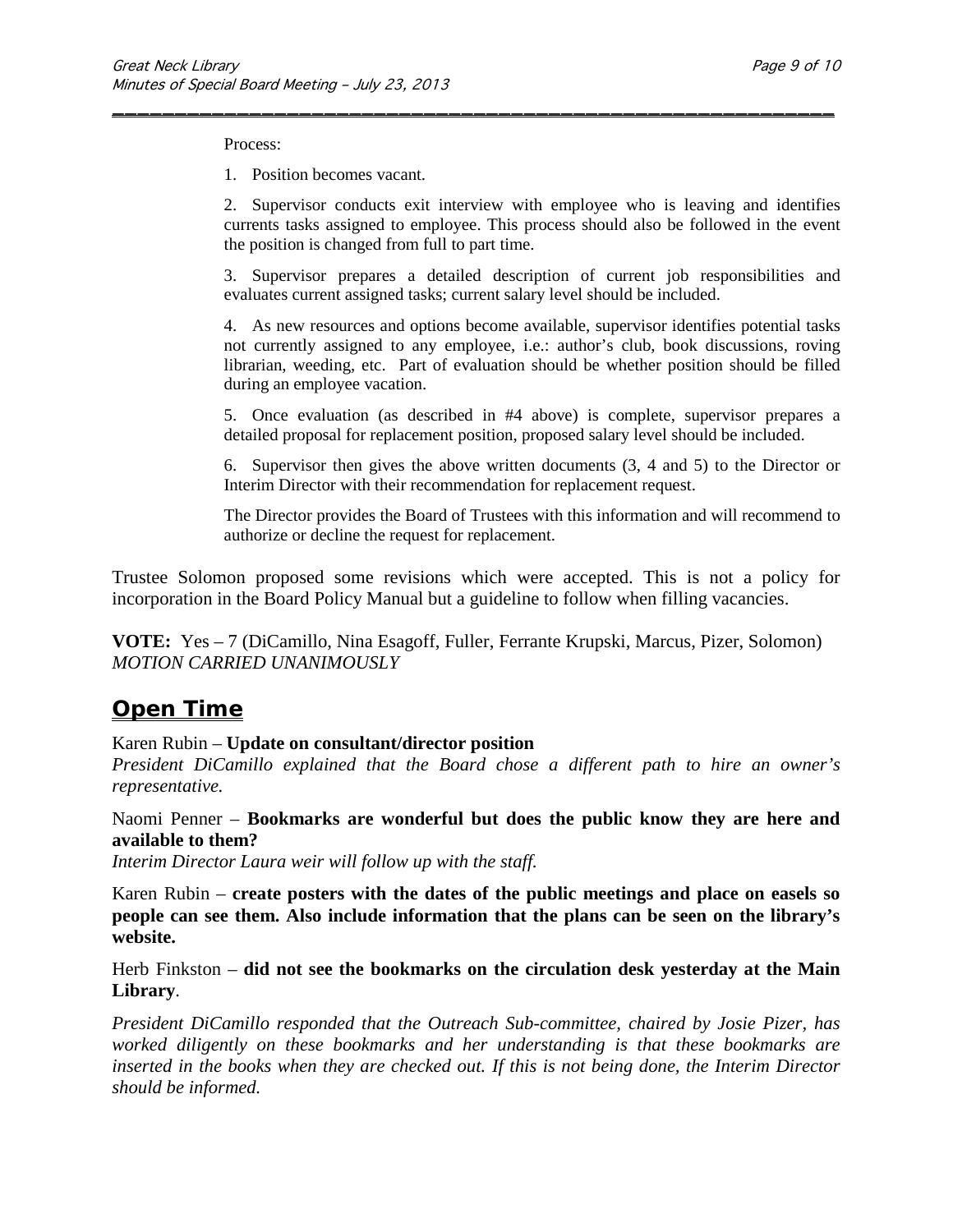Process:

1. Position becomes vacant.

2. Supervisor conducts exit interview with employee who is leaving and identifies currents tasks assigned to employee. This process should also be followed in the event the position is changed from full to part time.

\_\_\_\_\_\_\_\_\_\_\_\_\_\_\_\_\_\_\_\_\_\_\_\_\_\_\_\_\_\_\_\_\_\_\_\_\_\_\_\_\_\_\_\_\_\_\_\_\_\_\_\_\_\_\_\_\_\_

3. Supervisor prepares a detailed description of current job responsibilities and evaluates current assigned tasks; current salary level should be included.

4. As new resources and options become available, supervisor identifies potential tasks not currently assigned to any employee, i.e.: author's club, book discussions, roving librarian, weeding, etc. Part of evaluation should be whether position should be filled during an employee vacation.

5. Once evaluation (as described in #4 above) is complete, supervisor prepares a detailed proposal for replacement position, proposed salary level should be included.

6. Supervisor then gives the above written documents (3, 4 and 5) to the Director or Interim Director with their recommendation for replacement request.

The Director provides the Board of Trustees with this information and will recommend to authorize or decline the request for replacement.

Trustee Solomon proposed some revisions which were accepted. This is not a policy for incorporation in the Board Policy Manual but a guideline to follow when filling vacancies.

**VOTE:** Yes – 7 (DiCamillo, Nina Esagoff, Fuller, Ferrante Krupski, Marcus, Pizer, Solomon) *MOTION CARRIED UNANIMOUSLY*

## **Open Time**

#### Karen Rubin – **Update on consultant/director position**

*President DiCamillo explained that the Board chose a different path to hire an owner's representative.*

Naomi Penner – **Bookmarks are wonderful but does the public know they are here and available to them?**

*Interim Director Laura weir will follow up with the staff.*

Karen Rubin – **create posters with the dates of the public meetings and place on easels so people can see them. Also include information that the plans can be seen on the library's website.**

Herb Finkston – **did not see the bookmarks on the circulation desk yesterday at the Main Library**.

*President DiCamillo responded that the Outreach Sub-committee, chaired by Josie Pizer, has worked diligently on these bookmarks and her understanding is that these bookmarks are inserted in the books when they are checked out. If this is not being done, the Interim Director should be informed.*